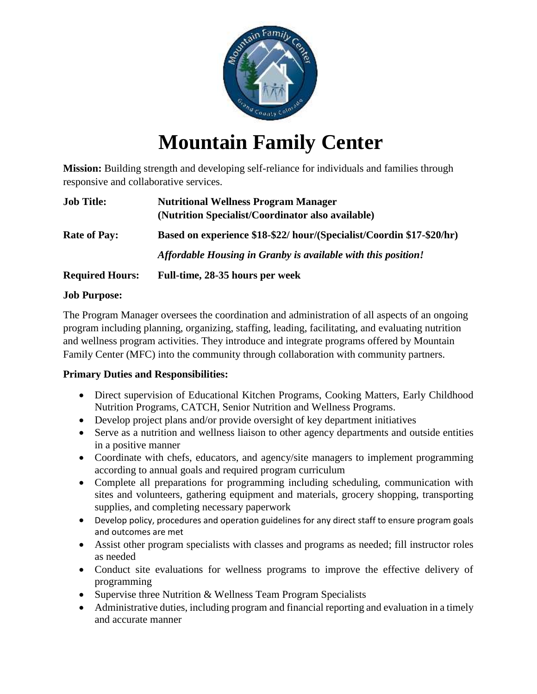

# **Mountain Family Center**

**Mission:** Building strength and developing self-reliance for individuals and families through responsive and collaborative services.

| <b>Job Title:</b>      | <b>Nutritional Wellness Program Manager</b><br>(Nutrition Specialist/Coordinator also available) |
|------------------------|--------------------------------------------------------------------------------------------------|
| <b>Rate of Pay:</b>    | Based on experience \$18-\$22/ hour/(Specialist/Coordin \$17-\$20/hr)                            |
|                        | Affordable Housing in Granby is available with this position!                                    |
| <b>Required Hours:</b> | Full-time, 28-35 hours per week                                                                  |

#### **Job Purpose:**

The Program Manager oversees the coordination and administration of all aspects of an ongoing program including planning, organizing, staffing, leading, facilitating, and evaluating nutrition and wellness program activities. They introduce and integrate programs offered by Mountain Family Center (MFC) into the community through collaboration with community partners.

## **Primary Duties and Responsibilities:**

- Direct supervision of Educational Kitchen Programs, Cooking Matters, Early Childhood Nutrition Programs, CATCH, Senior Nutrition and Wellness Programs.
- Develop project plans and/or provide oversight of key department initiatives
- Serve as a nutrition and wellness liaison to other agency departments and outside entities in a positive manner
- Coordinate with chefs, educators, and agency/site managers to implement programming according to annual goals and required program curriculum
- Complete all preparations for programming including scheduling, communication with sites and volunteers, gathering equipment and materials, grocery shopping, transporting supplies, and completing necessary paperwork
- Develop policy, procedures and operation guidelines for any direct staff to ensure program goals and outcomes are met
- Assist other program specialists with classes and programs as needed; fill instructor roles as needed
- Conduct site evaluations for wellness programs to improve the effective delivery of programming
- Supervise three Nutrition & Wellness Team Program Specialists
- Administrative duties, including program and financial reporting and evaluation in a timely and accurate manner